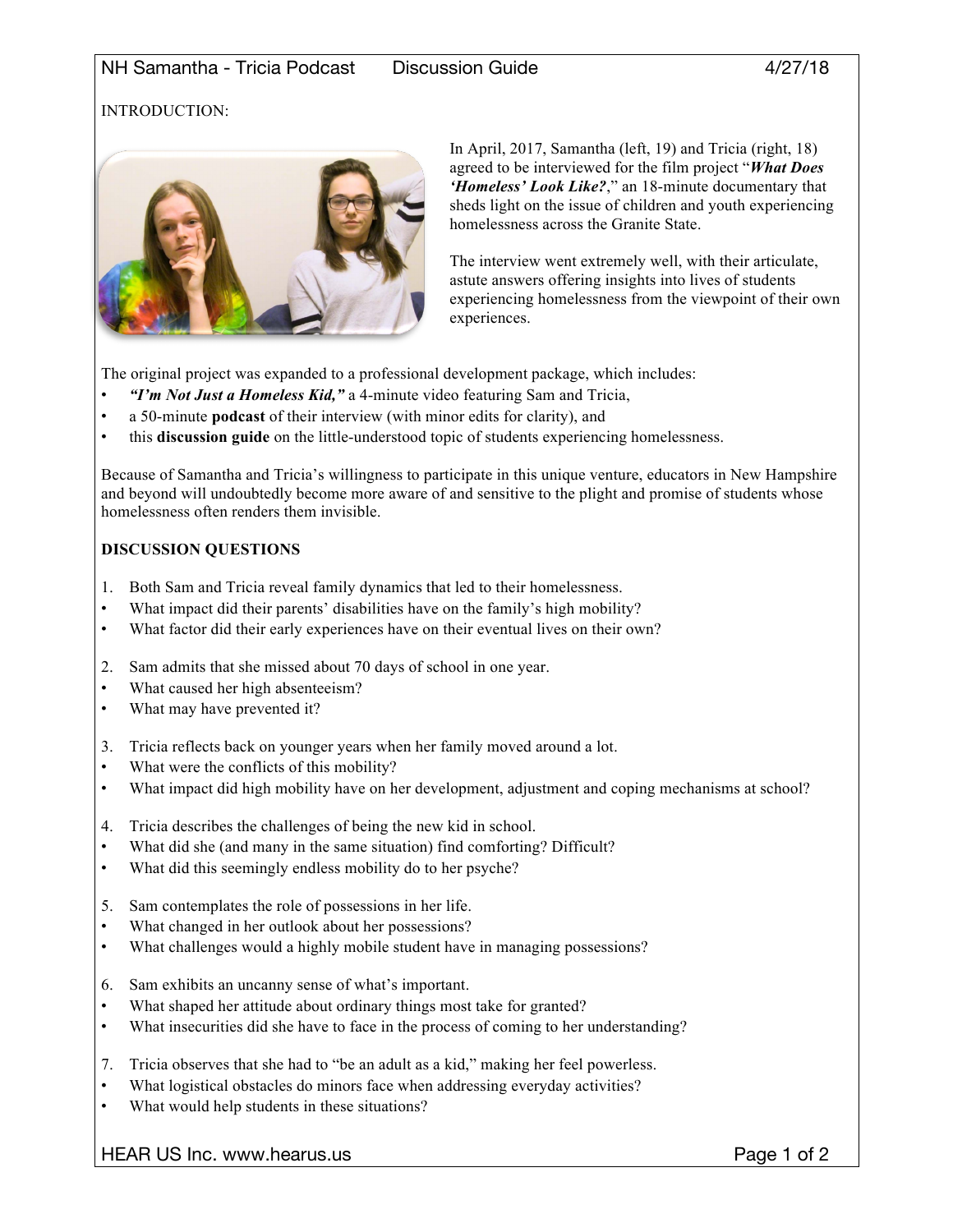# INTRODUCTION:



In April, 2017, Samantha (left, 19) and Tricia (right, 18) agreed to be interviewed for the film project "*What Does 'Homeless' Look Like?*," an 18-minute documentary that sheds light on the issue of children and youth experiencing homelessness across the Granite State.

The interview went extremely well, with their articulate, astute answers offering insights into lives of students experiencing homelessness from the viewpoint of their own experiences.

The original project was expanded to a professional development package, which includes:

- *"I'm Not Just a Homeless Kid,"* a 4-minute video featuring Sam and Tricia,
- a 50-minute **podcast** of their interview (with minor edits for clarity), and
- this **discussion guide** on the little-understood topic of students experiencing homelessness.

Because of Samantha and Tricia's willingness to participate in this unique venture, educators in New Hampshire and beyond will undoubtedly become more aware of and sensitive to the plight and promise of students whose homelessness often renders them invisible.

## **DISCUSSION QUESTIONS**

- 1. Both Sam and Tricia reveal family dynamics that led to their homelessness.
- What impact did their parents' disabilities have on the family's high mobility?
- What factor did their early experiences have on their eventual lives on their own?
- 2. Sam admits that she missed about 70 days of school in one year.
- What caused her high absenteeism?
- What may have prevented it?
- 3. Tricia reflects back on younger years when her family moved around a lot.
- What were the conflicts of this mobility?
- What impact did high mobility have on her development, adjustment and coping mechanisms at school?
- 4. Tricia describes the challenges of being the new kid in school.
- What did she (and many in the same situation) find comforting? Difficult?
- What did this seemingly endless mobility do to her psyche?
- 5. Sam contemplates the role of possessions in her life.
- What changed in her outlook about her possessions?
- What challenges would a highly mobile student have in managing possessions?
- 6. Sam exhibits an uncanny sense of what's important.
- What shaped her attitude about ordinary things most take for granted?
- What insecurities did she have to face in the process of coming to her understanding?
- 7. Tricia observes that she had to "be an adult as a kid," making her feel powerless.
- What logistical obstacles do minors face when addressing everyday activities?
- What would help students in these situations?

HEAR US Inc. www.hearus.us example 2 and the example of 2